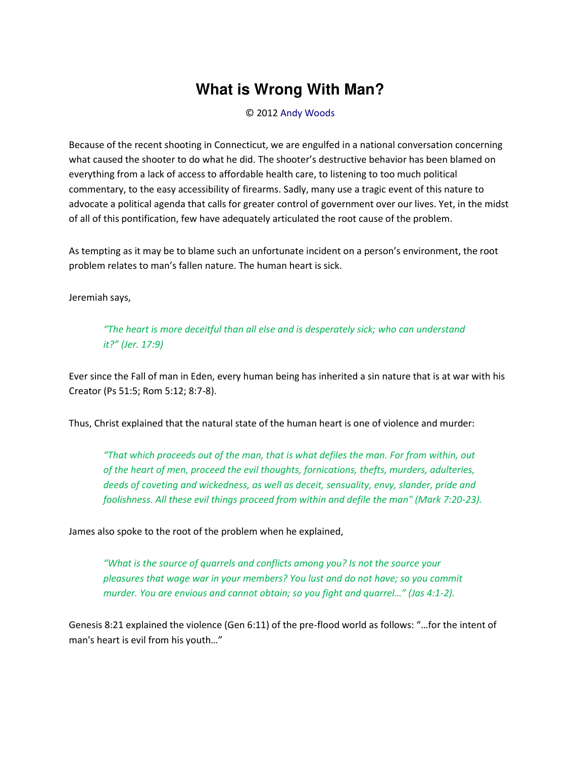## What is Wrong With Man?

© 2012 Andy Woods

Because of the recent shooting in Connecticut, we are engulfed in a national conversation concerning what caused the shooter to do what he did. The shooter's destructive behavior has been blamed on everything from a lack of access to affordable health care, to listening to too much political commentary, to the easy accessibility of firearms. Sadly, many use a tragic event of this nature to advocate a political agenda that calls for greater control of government over our lives. Yet, in the midst of all of this pontification, few have adequately articulated the root cause of the problem.

As tempting as it may be to blame such an unfortunate incident on a person's environment, the root problem relates to man's fallen nature. The human heart is sick.

Jeremiah says,

"The heart is more deceitful than all else and is desperately sick; who can understand it?" (Jer. 17:9)

Ever since the Fall of man in Eden, every human being has inherited a sin nature that is at war with his Creator (Ps 51:5; Rom 5:12; 8:7-8).

Thus, Christ explained that the natural state of the human heart is one of violence and murder:

"That which proceeds out of the man, that is what defiles the man. For from within, out of the heart of men, proceed the evil thoughts, fornications, thefts, murders, adulteries, deeds of coveting and wickedness, as well as deceit, sensuality, envy, slander, pride and foolishness. All these evil things proceed from within and defile the man" (Mark 7:20-23).

James also spoke to the root of the problem when he explained,

"What is the source of quarrels and conflicts among you? Is not the source your pleasures that wage war in your members? You lust and do not have; so you commit murder. You are envious and cannot obtain; so you fight and quarrel..." (Jas 4:1-2).

Genesis 8:21 explained the violence (Gen 6:11) of the pre-flood world as follows: "...for the intent of man's heart is evil from his youth..."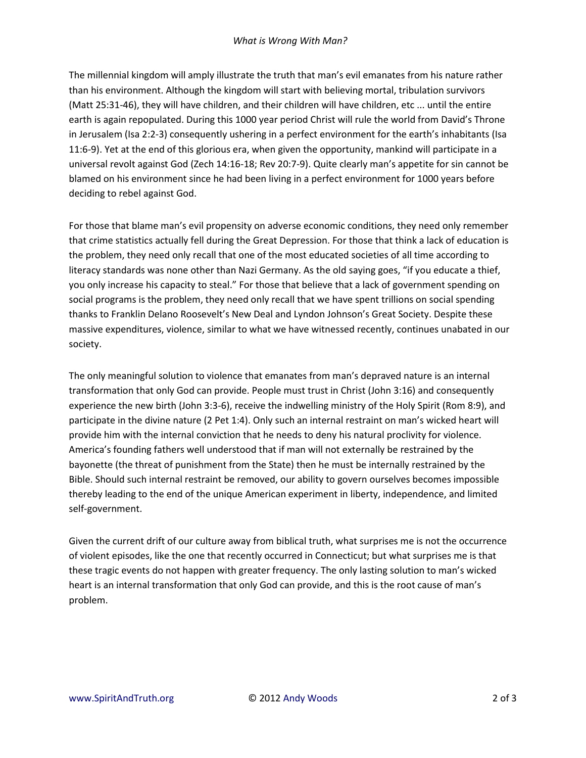The millennial kingdom will amply illustrate the truth that man's evil emanates from his nature rather than his environment. Although the kingdom will start with believing mortal, tribulation survivors (Matt 25:31-46), they will have children, and their children will have children, etc ... until the entire earth is again repopulated. During this 1000 year period Christ will rule the world from David's Throne in Jerusalem (Isa 2:2-3) consequently ushering in a perfect environment for the earth's inhabitants (Isa 11:6-9). Yet at the end of this glorious era, when given the opportunity, mankind will participate in a universal revolt against God (Zech 14:16-18; Rev 20:7-9). Quite clearly man's appetite for sin cannot be blamed on his environment since he had been living in a perfect environment for 1000 years before deciding to rebel against God.

For those that blame man's evil propensity on adverse economic conditions, they need only remember that crime statistics actually fell during the Great Depression. For those that think a lack of education is the problem, they need only recall that one of the most educated societies of all time according to literacy standards was none other than Nazi Germany. As the old saying goes, "if you educate a thief, you only increase his capacity to steal." For those that believe that a lack of government spending on social programs is the problem, they need only recall that we have spent trillions on social spending thanks to Franklin Delano Roosevelt's New Deal and Lyndon Johnson's Great Society. Despite these massive expenditures, violence, similar to what we have witnessed recently, continues unabated in our society.

The only meaningful solution to violence that emanates from man's depraved nature is an internal transformation that only God can provide. People must trust in Christ (John 3:16) and consequently experience the new birth (John 3:3-6), receive the indwelling ministry of the Holy Spirit (Rom 8:9), and participate in the divine nature (2 Pet 1:4). Only such an internal restraint on man's wicked heart will provide him with the internal conviction that he needs to deny his natural proclivity for violence. America's founding fathers well understood that if man will not externally be restrained by the bayonette (the threat of punishment from the State) then he must be internally restrained by the Bible. Should such internal restraint be removed, our ability to govern ourselves becomes impossible thereby leading to the end of the unique American experiment in liberty, independence, and limited self-government.

Given the current drift of our culture away from biblical truth, what surprises me is not the occurrence of violent episodes, like the one that recently occurred in Connecticut; but what surprises me is that these tragic events do not happen with greater frequency. The only lasting solution to man's wicked heart is an internal transformation that only God can provide, and this is the root cause of man's problem.